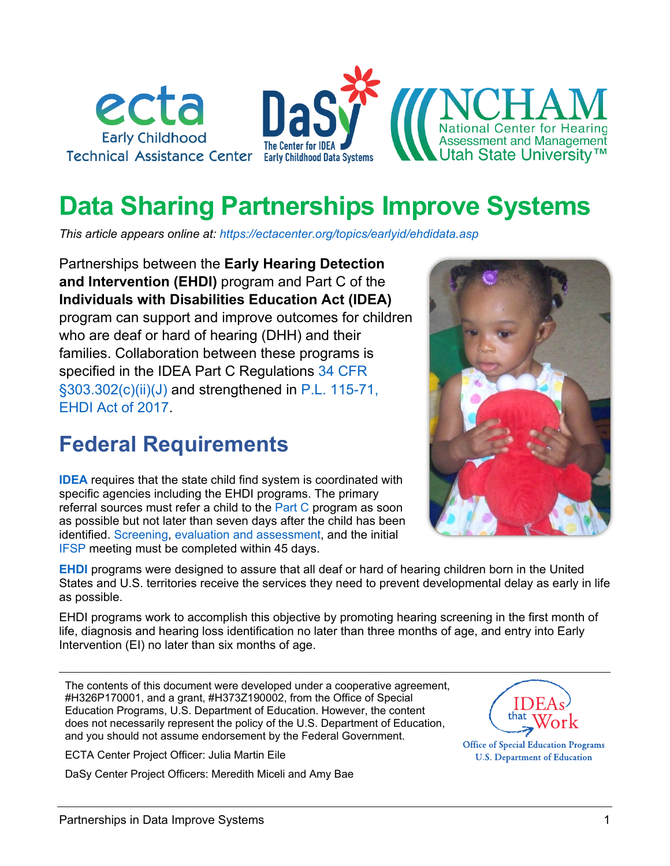

# **Data Sharing Partnerships Improve Systems**

*This article appears online at:<https://ectacenter.org/topics/earlyid/ehdidata.asp>*

Partnerships between the **Early Hearing Detection and Intervention (EHDI)** program and Part C of the **Individuals with Disabilities Education Act (IDEA)** program can support and improve outcomes for children who are deaf or hard of hearing (DHH) and their families. Collaboration between these programs is specified in the IDEA Part C Regulations [34 CFR](https://www.ecfr.gov/current/title-34/subtitle-B/chapter-III/part-303/subpart-D/subject-group-ECFR5c39b9622a3015f/section-303.302#p-303.302(c)(1)(ii)(J))  [§303.302\(c\)\(ii\)\(J\)](https://www.ecfr.gov/current/title-34/subtitle-B/chapter-III/part-303/subpart-D/subject-group-ECFR5c39b9622a3015f/section-303.302#p-303.302(c)(1)(ii)(J)) and strengthened in [P.L. 115-71,](https://www.congress.gov/115/plaws/publ71/PLAW-115publ71.pdf)  [EHDI Act](https://www.congress.gov/115/plaws/publ71/PLAW-115publ71.pdf) of 2017.

### **Federal Requirements**

**[IDEA](https://ectacenter.org/idea.asp)** requires that the state child find system is coordinated with specific agencies including the EHDI programs. The primary referral sources must refer a child to the [Part C](https://ectacenter.org/partc/partc.asp) program as soon as possible but not later than seven days after the child has been identified. [Screening,](https://ectacenter.org/topics/earlyid/screeneval.asp) [evaluation and assessment,](https://ectacenter.org/topics/earlyid/evaluation-assessment.asp) and the initial [IFSP](https://ectacenter.org/topics/ifsp/ifspprocess.asp) meeting must be completed within 45 days.

**[EHDI](https://www.infanthearing.org/legislation/)** programs were designed to assure that all deaf or hard of hearing children born in the United States and U.S. territories receive the services they need to prevent developmental delay as early in life as possible.

EHDI programs work to accomplish this objective by promoting hearing screening in the first month of life, diagnosis and hearing loss identification no later than three months of age, and entry into Early Intervention (EI) no later than six months of age.

The contents of this document were developed under a cooperative agreement, #H326P170001, and a grant, #H373Z190002, from the Office of Special Education Programs, U.S. Department of Education. However, the content does not necessarily represent the policy of the U.S. Department of Education, and you should not assume endorsement by the Federal Government.

ECTA Center Project Officer: Julia Martin Eile

DaSy Center Project Officers: Meredith Miceli and Amy Bae





**Office of Special Education Programs U.S. Department of Education**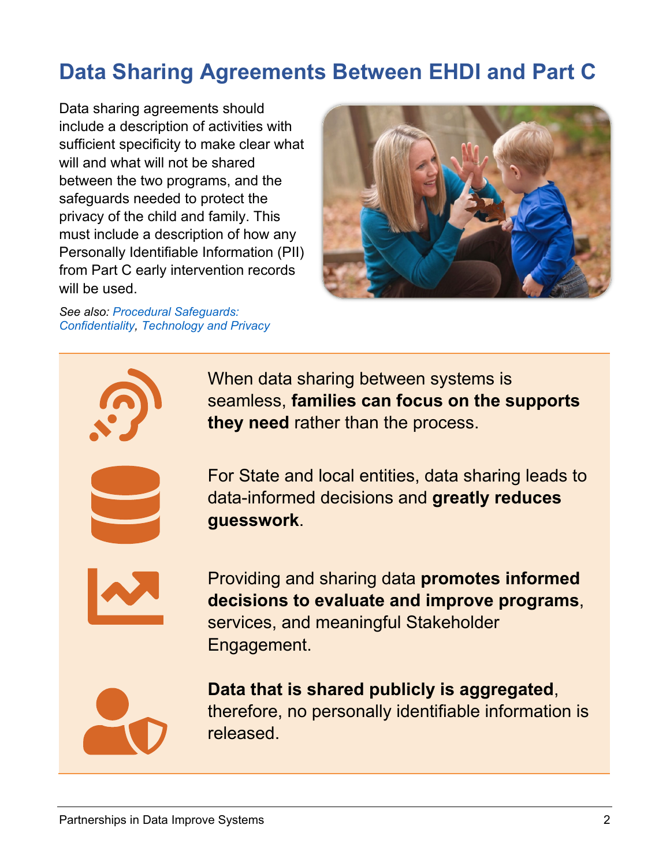# **Data Sharing Agreements Between EHDI and Part C**

Data sharing agreements should include a description of activities with sufficient specificity to make clear what will and what will not be shared between the two programs, and the safeguards needed to protect the privacy of the child and family. This must include a description of how any Personally Identifiable Information (PII) from Part C early intervention records will be used.

*See also: [Procedural Safeguards:](https://ectacenter.org/topics/procsafe/confidentiality.asp)  [Confidentiality,](https://ectacenter.org/topics/procsafe/confidentiality.asp) [Technology and Privacy](https://ectacenter.org/topics/disaster/ti-hipaa.asp)*



When data sharing between systems is seamless, **families can focus on the supports they need** rather than the process.





Providing and sharing data **promotes informed decisions to evaluate and improve programs**, services, and meaningful Stakeholder Engagement.



**Data that is shared publicly is aggregated**, therefore, no personally identifiable information is released.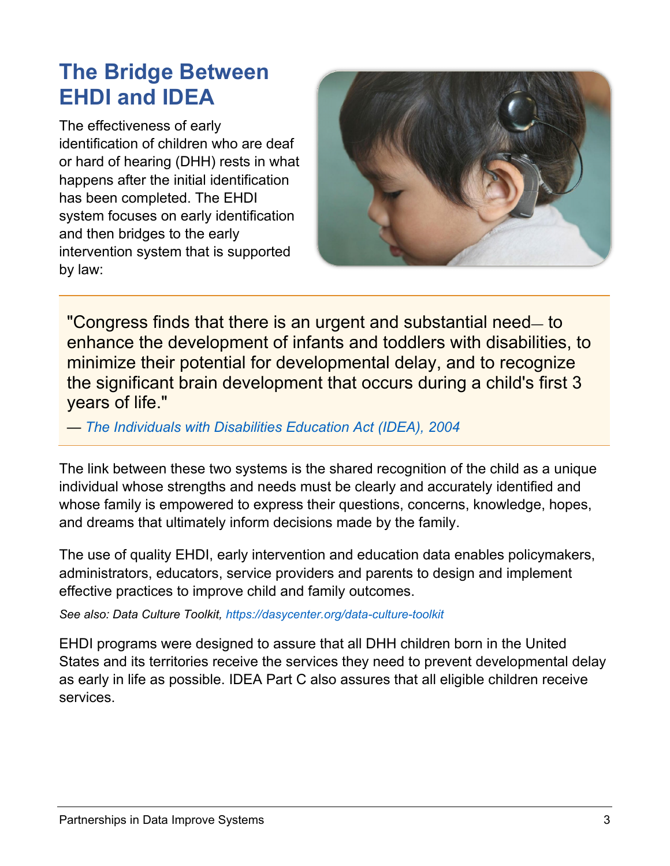## **The Bridge Between EHDI and IDEA**

The effectiveness of early identification of children who are deaf or hard of hearing (DHH) rests in what happens after the initial identification has been completed. The EHDI system focuses on early identification and then bridges to the early intervention system that is supported by law:



"Congress finds that there is an urgent and substantial need— to enhance the development of infants and toddlers with disabilities, to minimize their potential for developmental delay, and to recognize the significant brain development that occurs during a child's first 3 years of life."

*— [The Individuals with Disabilities Education Act \(IDEA\), 2004](https://sites.ed.gov/idea/statute-chapter-33/subchapter-iii/1431)*

The link between these two systems is the shared recognition of the child as a unique individual whose strengths and needs must be clearly and accurately identified and whose family is empowered to express their questions, concerns, knowledge, hopes, and dreams that ultimately inform decisions made by the family.

The use of quality EHDI, early intervention and education data enables policymakers, administrators, educators, service providers and parents to design and implement effective practices to improve child and family outcomes.

*See also: Data Culture Toolkit,<https://dasycenter.org/data-culture-toolkit>*

EHDI programs were designed to assure that all DHH children born in the United States and its territories receive the services they need to prevent developmental delay as early in life as possible. IDEA Part C also assures that all eligible children receive services.